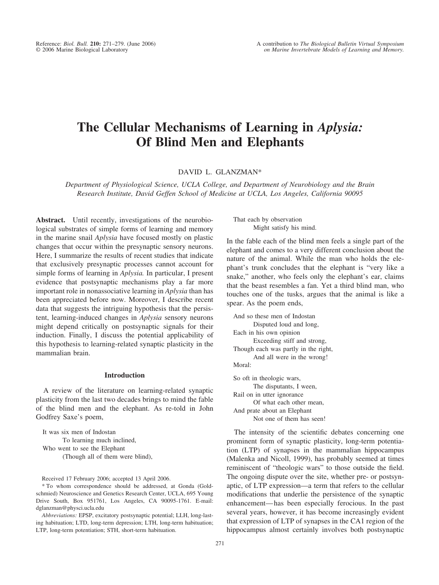# **The Cellular Mechanisms of Learning in** *Aplysia:* **Of Blind Men and Elephants**

DAVID L. GLANZMAN\*

*Department of Physiological Science, UCLA College, and Department of Neurobiology and the Brain Research Institute, David Geffen School of Medicine at UCLA, Los Angeles, California 90095*

**Abstract.** Until recently, investigations of the neurobiological substrates of simple forms of learning and memory in the marine snail *Aplysia* have focused mostly on plastic changes that occur within the presynaptic sensory neurons. Here, I summarize the results of recent studies that indicate that exclusively presynaptic processes cannot account for simple forms of learning in *Aplysia.* In particular, I present evidence that postsynaptic mechanisms play a far more important role in nonassociative learning in *Aplysia* than has been appreciated before now. Moreover, I describe recent data that suggests the intriguing hypothesis that the persistent, learning-induced changes in *Aplysia* sensory neurons might depend critically on postsynaptic signals for their induction. Finally, I discuss the potential applicability of this hypothesis to learning-related synaptic plasticity in the mammalian brain.

#### **Introduction**

A review of the literature on learning-related synaptic plasticity from the last two decades brings to mind the fable of the blind men and the elephant. As re-told in John Godfrey Saxe's poem,

It was six men of Indostan To learning much inclined, Who went to see the Elephant (Though all of them were blind),

Received 17 February 2006; accepted 13 April 2006.

\* To whom correspondence should be addressed, at Gonda (Goldschmied) Neuroscience and Genetics Research Center, UCLA, 695 Young Drive South, Box 951761, Los Angeles, CA 90095-1761. E-mail: dglanzman@physci.ucla.edu

*Abbreviations:* EPSP, excitatory postsynaptic potential; LLH, long-lasting habituation; LTD, long-term depression; LTH, long-term habituation; LTP, long-term potentiation; STH, short-term habituation.

That each by observation Might satisfy his mind.

In the fable each of the blind men feels a single part of the elephant and comes to a very different conclusion about the nature of the animal. While the man who holds the elephant's trunk concludes that the elephant is "very like a snake," another, who feels only the elephant's ear, claims that the beast resembles a fan. Yet a third blind man, who touches one of the tusks, argues that the animal is like a spear. As the poem ends,

```
And so these men of Indostan
       Disputed loud and long,
Each in his own opinion
       Exceeding stiff and strong,
Though each was partly in the right,
       And all were in the wrong!
Moral:
So oft in theologic wars,
```
The disputants, I ween, Rail on in utter ignorance Of what each other mean, And prate about an Elephant Not one of them has seen!

The intensity of the scientific debates concerning one prominent form of synaptic plasticity, long-term potentiation (LTP) of synapses in the mammalian hippocampus (Malenka and Nicoll, 1999), has probably seemed at times reminiscent of "theologic wars" to those outside the field. The ongoing dispute over the site, whether pre- or postsynaptic, of LTP expression—a term that refers to the cellular modifications that underlie the persistence of the synaptic enhancement—has been especially ferocious. In the past several years, however, it has become increasingly evident that expression of LTP of synapses in the CA1 region of the hippocampus almost certainly involves both postsynaptic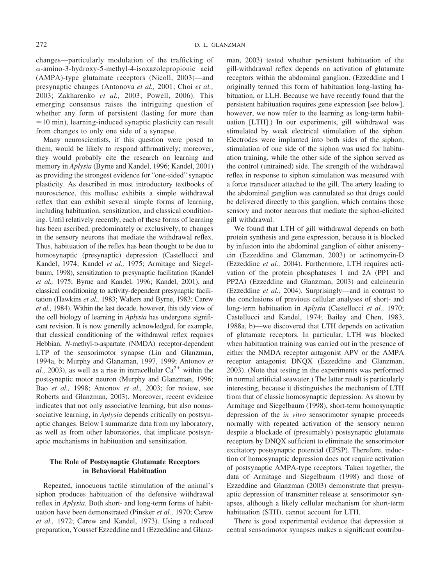changes—particularly modulation of the trafficking of  $\alpha$ -amino-3-hydroxy-5-methyl-4-isoxazolepropionic acid (AMPA)-type glutamate receptors (Nicoll, 2003)—and presynaptic changes (Antonova *et al.,* 2001; Choi *et al.,* 2003; Zakharenko *et al.,* 2003; Powell, 2006). This emerging consensus raises the intriguing question of whether any form of persistent (lasting for more than  $\approx$ 10 min), learning-induced synaptic plasticity can result from changes to only one side of a synapse.

Many neuroscientists, if this question were posed to them, would be likely to respond affirmatively; moreover, they would probably cite the research on learning and memory in *Aplysia* (Byrne and Kandel, 1996; Kandel, 2001) as providing the strongest evidence for "one-sided" synaptic plasticity. As described in most introductory textbooks of neuroscience, this mollusc exhibits a simple withdrawal reflex that can exhibit several simple forms of learning, including habituation, sensitization, and classical conditioning. Until relatively recently, each of these forms of learning has been ascribed, predominately or exclusively, to changes in the sensory neurons that mediate the withdrawal reflex. Thus, habituation of the reflex has been thought to be due to homosynaptic (presynaptic) depression (Castellucci and Kandel, 1974; Kandel *et al.,* 1975; Armitage and Siegelbaum, 1998), sensitization to presynaptic facilitation (Kandel *et al.,* 1975; Byrne and Kandel, 1996; Kandel, 2001), and classical conditioning to activity-dependent presynaptic facilitation (Hawkins *et al.,* 1983; Walters and Byrne, 1983; Carew *et al.,* 1984). Within the last decade, however, this tidy view of the cell biology of learning in *Aplysia* has undergone significant revision. It is now generally acknowledged, for example, that classical conditioning of the withdrawal reflex requires Hebbian, *N*-methyl-D-aspartate (NMDA) receptor-dependent LTP of the sensorimotor synapse (Lin and Glanzman, 1994a, b; Murphy and Glanzman, 1997, 1999; Antonov *et* al., 2003), as well as a rise in intracellular  $Ca^{2+}$  within the postsynaptic motor neuron (Murphy and Glanzman, 1996; Bao *et al.,* 1998; Antonov *et al.,* 2003; for review, see Roberts and Glanzman, 2003). Moreover, recent evidence indicates that not only associative learning, but also nonassociative learning, in *Aplysia* depends critically on postsynaptic changes. Below I summarize data from my laboratory, as well as from other laboratories, that implicate postsynaptic mechanisms in habituation and sensitization.

## **The Role of Postsynaptic Glutamate Receptors in Behavioral Habituation**

Repeated, innocuous tactile stimulation of the animal's siphon produces habituation of the defensive withdrawal reflex in *Aplysia.* Both short- and long-term forms of habituation have been demonstrated (Pinsker *et al.,* 1970; Carew *et al.,* 1972; Carew and Kandel, 1973). Using a reduced preparation, Youssef Ezzeddine and I (Ezzeddine and Glanzman, 2003) tested whether persistent habituation of the gill-withdrawal reflex depends on activation of glutamate receptors within the abdominal ganglion. (Ezzeddine and I originally termed this form of habituation long-lasting habituation, or LLH. Because we have recently found that the persistent habituation requires gene expression [see below], however, we now refer to the learning as long-term habituation [LTH].) In our experiments, gill withdrawal was stimulated by weak electrical stimulation of the siphon. Electrodes were implanted into both sides of the siphon; stimulation of one side of the siphon was used for habituation training, while the other side of the siphon served as the control (untrained) side. The strength of the withdrawal reflex in response to siphon stimulation was measured with a force transducer attached to the gill. The artery leading to the abdominal ganglion was cannulated so that drugs could be delivered directly to this ganglion, which contains those sensory and motor neurons that mediate the siphon-elicited gill withdrawal.

We found that LTH of gill withdrawal depends on both protein synthesis and gene expression, because it is blocked by infusion into the abdominal ganglion of either anisomycin (Ezzeddine and Glanzman, 2003) or actinomycin-D (Ezzeddine *et al.,* 2004). Furthermore, LTH requires activation of the protein phosphatases 1 and 2A (PP1 and PP2A) (Ezzeddine and Glanzman, 2003) and calcineurin (Ezzeddine *et al.,* 2004). Surprisingly—and in contrast to the conclusions of previous cellular analyses of short- and long-term habituation in *Aplysia* (Castellucci *et al.,* 1970; Castellucci and Kandel, 1974; Bailey and Chen, 1983, 1988a, b)—we discovered that LTH depends on activation of glutamate receptors. In particular, LTH was blocked when habituation training was carried out in the presence of either the NMDA receptor antagonist APV or the AMPA receptor antagonist DNQX (Ezzeddine and Glanzman, 2003). (Note that testing in the experiments was performed in normal artificial seawater.) The latter result is particularly interesting, because it distinguishes the mechanism of LTH from that of classic homosynaptic depression. As shown by Armitage and Siegelbaum (1998), short-term homosynaptic depression of the *in vitro* sensorimotor synapse proceeds normally with repeated activation of the sensory neuron despite a blockade of (presumably) postsynaptic glutamate receptors by DNQX sufficient to eliminate the sensorimotor excitatory postsynaptic potential (EPSP). Therefore, induction of homosynaptic depression does not require activation of postsynaptic AMPA-type receptors. Taken together, the data of Armitage and Siegelbaum (1998) and those of Ezzeddine and Glanzman (2003) demonstrate that presynaptic depression of transmitter release at sensorimotor synapses, although a likely cellular mechanism for short-term habituation (STH), cannot account for LTH.

There is good experimental evidence that depression at central sensorimotor synapses makes a significant contribu-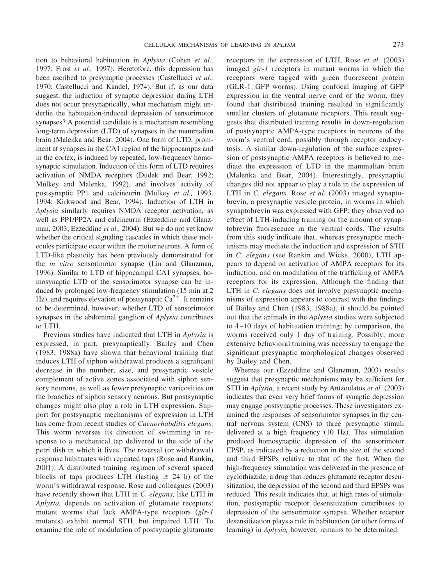tion to behavioral habituation in *Aplysia* (Cohen *et al.,* 1997; Frost *et al.,* 1997). Heretofore, this depression has been ascribed to presynaptic processes (Castellucci *et al.,* 1970; Castellucci and Kandel, 1974). But if, as our data suggest, the induction of synaptic depression during LTH does not occur presynaptically, what mechanism might underlie the habituation-induced depression of sensorimotor synapses? A potential candidate is a mechanism resembling long-term depression (LTD) of synapses in the mammalian brain (Malenka and Bear, 2004). One form of LTD, prominent at synapses in the CA1 region of the hippocampus and in the cortex, is induced by repeated, low-frequency homosynaptic stimulation. Induction of this form of LTD requires activation of NMDA receptors (Dudek and Bear, 1992; Mulkey and Malenka, 1992), and involves activity of postsynaptic PP1 and calcineurin (Mulkey *et al.,* 1993, 1994; Kirkwood and Bear, 1994). Induction of LTH in *Aplysia* similarly requires NMDA receptor activation, as well as PP1/PP2A and calcineurin (Ezzeddine and Glanzman, 2003; Ezzeddine *et al.,* 2004). But we do not yet know whether the critical signaling cascades in which these molecules participate occur within the motor neurons. A form of LTD-like plasticity has been previously demonstrated for the *in vitro* sensorimotor synapse (Lin and Glanzman, 1996). Similar to LTD of hippocampal CA1 synapses, homosynaptic LTD of the sensorimotor synapse can be induced by prolonged low-frequency stimulation (15 min at 2 Hz), and requires elevation of postsynaptic  $Ca^{2+}$ . It remains to be determined, however, whether LTD of sensorimotor synapses in the abdominal ganglion of *Aplysia* contributes to LTH.

Previous studies have indicated that LTH in *Aplysia* is expressed, in part, presynaptically. Bailey and Chen (1983, 1988a) have shown that behavioral training that induces LTH of siphon withdrawal produces a significant decrease in the number, size, and presynaptic vesicle complement of active zones associated with siphon sensory neurons, as well as fewer presynaptic varicosities on the branches of siphon sensory neurons. But postsynaptic changes might also play a role in LTH expression. Support for postsynaptic mechanisms of expression in LTH has come from recent studies of *Caenorhabditis elegans.* This worm reverses its direction of swimming in response to a mechanical tap delivered to the side of the petri dish in which it lives. The reversal (or withdrawal) response habituates with repeated taps (Rose and Rankin, 2001). A distributed training regimen of several spaced blocks of taps produces LTH (lasting  $\geq$  24 h) of the worm's withdrawal response. Rose and colleagues (2003) have recently shown that LTH in *C. elegans,* like LTH in *Aplysia,* depends on activation of glutamate receptors: mutant worms that lack AMPA-type receptors (*glr-1* mutants) exhibit normal STH, but impaired LTH. To examine the role of modulation of postsynaptic glutamate

receptors in the expression of LTH, Rose *et al.* (2003) imaged *glr-1* receptors in mutant worms in which the receptors were tagged with green fluorescent protein (GLR-1::GFP worms). Using confocal imaging of GFP expression in the ventral nerve cord of the worm, they found that distributed training resulted in significantly smaller clusters of glutamate receptors. This result suggests that distributed training results in down-regulation of postsynaptic AMPA-type receptors in neurons of the worm's ventral cord, possibly through receptor endocytosis. A similar down-regulation of the surface expression of postsynaptic AMPA receptors is believed to mediate the expression of LTD in the mammalian brain (Malenka and Bear, 2004). Interestingly, presynaptic changes did not appear to play a role in the expression of LTH in *C. elegans.* Rose *et al.* (2003) imaged synaptobrevin, a presynaptic vesicle protein, in worms in which synaptobrevin was expressed with GFP; they observed no effect of LTH-inducing training on the amount of synaptobrevin fluorescence in the ventral cords. The results from this study indicate that, whereas presynaptic mechanisms may mediate the induction and expression of STH in *C. elegans* (see Rankin and Wicks, 2000), LTH appears to depend on activation of AMPA receptors for its induction, and on modulation of the trafficking of AMPA receptors for its expression. Although the finding that LTH in *C. elegans* does not involve presynaptic mechanisms of expression appears to contrast with the findings of Bailey and Chen (1983, 1988a), it should be pointed out that the animals in the *Aplysia* studies were subjected to 4–10 days of habituation training; by comparison, the worms received only 1 day of training. Possibly, more extensive behavioral training was necessary to engage the significant presynaptic morphological changes observed by Bailey and Chen.

Whereas our (Ezzeddine and Glanzman, 2003) results suggest that presynaptic mechanisms may be sufficient for STH in *Aplysia,* a recent study by Antzoulatos *et al.* (2003) indicates that even very brief forms of synaptic depression may engage postsynaptic processes. These investigators examined the responses of sensorimotor synapses in the central nervous system (CNS) to three presynaptic stimuli delivered at a high frequency (10 Hz). This stimulation produced homosynaptic depression of the sensorimotor EPSP, as indicated by a reduction in the size of the second and third EPSPs relative to that of the first. When the high-frequency stimulation was delivered in the presence of cyclothiazide, a drug that reduces glutamate receptor desensitization, the depression of the second and third EPSPs was reduced. This result indicates that, at high rates of stimulation, postsynaptic receptor desensitization contributes to depression of the sensorimotor synapse. Whether receptor desensitization plays a role in habituation (or other forms of learning) in *Aplysia,* however, remains to be determined.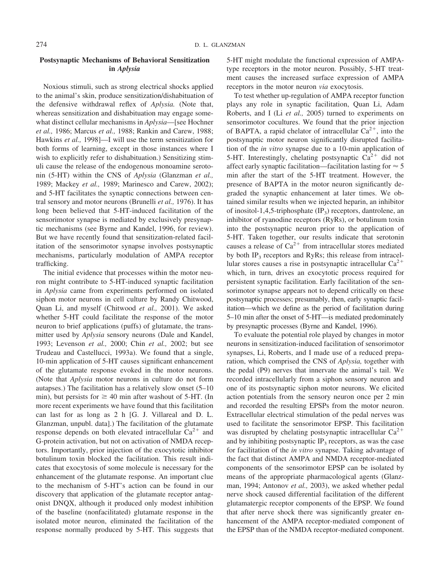## **Postsynaptic Mechanisms of Behavioral Sensitization in** *Aplysia*

Noxious stimuli, such as strong electrical shocks applied to the animal's skin, produce sensitization/dishabituation of the defensive withdrawal reflex of *Aplysia.* (Note that, whereas sensitization and dishabituation may engage somewhat distinct cellular mechanisms in *Aplysia*—[see Hochner *et al.,* 1986; Marcus *et al.,* 1988; Rankin and Carew, 1988; Hawkins *et al.,* 1998]—I will use the term sensitization for both forms of learning, except in those instances where I wish to explicitly refer to dishabituation.) Sensitizing stimuli cause the release of the endogenous monoamine serotonin (5-HT) within the CNS of *Aplysia* (Glanzman *et al.,* 1989; Mackey *et al.,* 1989; Marinesco and Carew, 2002); and 5-HT facilitates the synaptic connections between central sensory and motor neurons (Brunelli *et al.,* 1976). It has long been believed that 5-HT-induced facilitation of the sensorimotor synapse is mediated by exclusively presynaptic mechanisms (see Byrne and Kandel, 1996, for review). But we have recently found that sensitization-related facilitation of the sensorimotor synapse involves postsynaptic mechanisms, particularly modulation of AMPA receptor trafficking.

The initial evidence that processes within the motor neuron might contribute to 5-HT-induced synaptic facilitation in *Aplysia* came from experiments performed on isolated siphon motor neurons in cell culture by Randy Chitwood, Quan Li, and myself (Chitwood *et al.,* 2001). We asked whether 5-HT could facilitate the response of the motor neuron to brief applications (puffs) of glutamate, the transmitter used by *Aplysia* sensory neurons (Dale and Kandel, 1993; Levenson *et al.,* 2000; Chin *et al.,* 2002; but see Trudeau and Castellucci, 1993a). We found that a single, 10-min application of 5-HT causes significant enhancement of the glutamate response evoked in the motor neurons. (Note that *Aplysia* motor neurons in culture do not form autapses.) The facilitation has a relatively slow onset (5–10 min), but persists for  $\geq 40$  min after washout of 5-HT. (In more recent experiments we have found that this facilitation can last for as long as 2 h [G. J. Villareal and D. L. Glanzman, unpubl. data].) The facilitation of the glutamate response depends on both elevated intracellular  $Ca^{2+}$  and G-protein activation, but not on activation of NMDA receptors. Importantly, prior injection of the exocytotic inhibitor botulinum toxin blocked the facilitation. This result indicates that exocytosis of some molecule is necessary for the enhancement of the glutamate response. An important clue to the mechanism of 5-HT's action can be found in our discovery that application of the glutamate receptor antagonist DNQX, although it produced only modest inhibition of the baseline (nonfacilitated) glutamate response in the isolated motor neuron, eliminated the facilitation of the response normally produced by 5-HT. This suggests that 5-HT might modulate the functional expression of AMPAtype receptors in the motor neuron. Possibly, 5-HT treatment causes the increased surface expression of AMPA receptors in the motor neuron *via* exocytosis.

To test whether up-regulation of AMPA receptor function plays any role in synaptic facilitation, Quan Li, Adam Roberts, and I (Li *et al.,* 2005) turned to experiments on sensorimotor cocultures. We found that the prior injection of BAPTA, a rapid chelator of intracellular  $Ca^{2+}$ , into the postsynaptic motor neuron significantly disrupted facilitation of the *in vitro* synapse due to a 10-min application of 5-HT. Interestingly, chelating postsynaptic  $Ca^{2+}$  did not affect early synaptic facilitation—facilitation lasting for  $\approx$  5 min after the start of the 5-HT treatment. However, the presence of BAPTA in the motor neuron significantly degraded the synaptic enhancement at later times. We obtained similar results when we injected heparin, an inhibitor of inositol-1,4,5-triphosphate  $(\text{IP}_3)$  receptors, dantrolene, an inhibitor of ryanodine receptors (RyRs), or botulinum toxin into the postsynaptic neuron prior to the application of 5-HT. Taken together, our results indicate that serotonin causes a release of  $Ca^{2+}$  from intracellular stores mediated by both  $IP_3$  receptors and RyRs; this release from intracellular stores causes a rise in postsynaptic intracellular  $Ca^{2+}$ which, in turn, drives an exocytotic process required for persistent synaptic facilitation. Early facilitation of the sensorimotor synapse appears not to depend critically on these postsynaptic processes; presumably, then, early synaptic facilitation—which we define as the period of facilitation during 5–10 min after the onset of 5-HT—is mediated predominately by presynaptic processes (Byrne and Kandel, 1996).

To evaluate the potential role played by changes in motor neurons in sensitization-induced facilitation of sensorimotor synapses, Li, Roberts, and I made use of a reduced preparation, which comprised the CNS of *Aplysia,* together with the pedal (P9) nerves that innervate the animal's tail. We recorded intracellularly from a siphon sensory neuron and one of its postsynaptic siphon motor neurons. We elicited action potentials from the sensory neuron once per 2 min and recorded the resulting EPSPs from the motor neuron. Extracellular electrical stimulation of the pedal nerves was used to facilitate the sensorimotor EPSP. This facilitation was disrupted by chelating postsynaptic intracellular  $Ca^{2+}$ and by inhibiting postsynaptic  $IP_3$  receptors, as was the case for facilitation of the *in vitro* synapse. Taking advantage of the fact that distinct AMPA and NMDA receptor-mediated components of the sensorimotor EPSP can be isolated by means of the appropriate pharmacological agents (Glanzman, 1994; Antonov *et al.,* 2003), we asked whether pedal nerve shock caused differential facilitation of the different glutamatergic receptor components of the EPSP. We found that after nerve shock there was significantly greater enhancement of the AMPA receptor-mediated component of the EPSP than of the NMDA receptor-mediated component.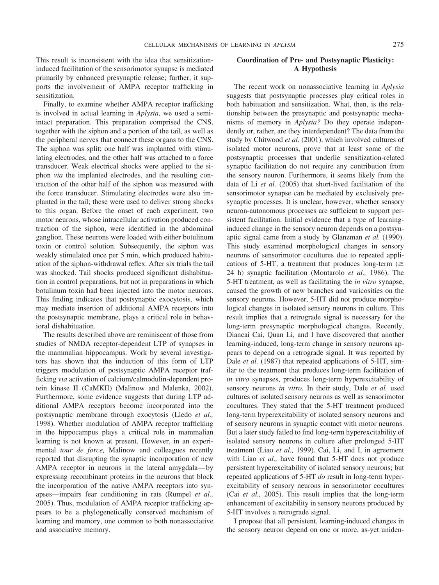This result is inconsistent with the idea that sensitizationinduced facilitation of the sensorimotor synapse is mediated primarily by enhanced presynaptic release; further, it supports the involvement of AMPA receptor trafficking in sensitization.

Finally, to examine whether AMPA receptor trafficking is involved in actual learning in *Aplysia,* we used a semiintact preparation. This preparation comprised the CNS, together with the siphon and a portion of the tail, as well as the peripheral nerves that connect these organs to the CNS. The siphon was split; one half was implanted with stimulating electrodes, and the other half was attached to a force transducer. Weak electrical shocks were applied to the siphon *via* the implanted electrodes, and the resulting contraction of the other half of the siphon was measured with the force transducer. Stimulating electrodes were also implanted in the tail; these were used to deliver strong shocks to this organ. Before the onset of each experiment, two motor neurons, whose intracellular activation produced contraction of the siphon, were identified in the abdominal ganglion. These neurons were loaded with either botulinum toxin or control solution. Subsequently, the siphon was weakly stimulated once per 5 min, which produced habituation of the siphon-withdrawal reflex. After six trials the tail was shocked. Tail shocks produced significant dishabituation in control preparations, but not in preparations in which botulinum toxin had been injected into the motor neurons. This finding indicates that postsynaptic exocytosis, which may mediate insertion of additional AMPA receptors into the postsynaptic membrane, plays a critical role in behavioral dishabituation.

The results described above are reminiscent of those from studies of NMDA receptor-dependent LTP of synapses in the mammalian hippocampus. Work by several investigators has shown that the induction of this form of LTP triggers modulation of postsynaptic AMPA receptor trafficking *via* activation of calcium/calmodulin-dependent protein kinase II (CaMKII) (Malinow and Malenka, 2002). Furthermore, some evidence suggests that during LTP additional AMPA receptors become incorporated into the postsynaptic membrane through exocytosis (Lledo *et al.,* 1998). Whether modulation of AMPA receptor trafficking in the hippocampus plays a critical role in mammalian learning is not known at present. However, in an experimental *tour de force,* Malinow and colleagues recently reported that disrupting the synaptic incorporation of new AMPA receptor in neurons in the lateral amygdala—by expressing recombinant proteins in the neurons that block the incorporation of the native AMPA receptors into synapses—impairs fear conditioning in rats (Rumpel *et al.,* 2005). Thus, modulation of AMPA receptor trafficking appears to be a phylogenetically conserved mechanism of learning and memory, one common to both nonassociative and associative memory.

# **Coordination of Pre- and Postsynaptic Plasticity: A Hypothesis**

The recent work on nonassociative learning in *Aplysia* suggests that postsynaptic processes play critical roles in both habituation and sensitization. What, then, is the relationship between the presynaptic and postsynaptic mechanisms of memory in *Aplysia?* Do they operate independently or, rather, are they interdependent? The data from the study by Chitwood *et al.* (2001), which involved cultures of isolated motor neurons, prove that at least some of the postsynaptic processes that underlie sensitization-related synaptic facilitation do not require any contribution from the sensory neuron. Furthermore, it seems likely from the data of Li *et al.* (2005) that short-lived facilitation of the sensorimotor synapse can be mediated by exclusively presynaptic processes. It is unclear, however, whether sensory neuron-autonomous processes are sufficient to support persistent facilitation. Initial evidence that a type of learninginduced change in the sensory neuron depends on a postsynaptic signal came from a study by Glanzman *et al.* (1990). This study examined morphological changes in sensory neurons of sensorimotor cocultures due to repeated applications of 5-HT, a treatment that produces long-term ( $\geq$ 24 h) synaptic facilitation (Montarolo *et al.,* 1986). The 5-HT treatment, as well as facilitating the *in vitro* synapse, caused the growth of new branches and varicosities on the sensory neurons. However, 5-HT did not produce morphological changes in isolated sensory neurons in culture. This result implies that a retrograde signal is necessary for the long-term presynaptic morphological changes. Recently, Diancai Cai, Quan Li, and I have discovered that another learning-induced, long-term change in sensory neurons appears to depend on a retrograde signal. It was reported by Dale *et al.* (1987) that repeated applications of 5-HT, similar to the treatment that produces long-term facilitation of *in vitro* synapses, produces long-term hyperexcitability of sensory neurons *in vitro.* In their study, Dale *et al.* used cultures of isolated sensory neurons as well as sensorimotor cocultures. They stated that the 5-HT treatment produced long-term hyperexcitability of isolated sensory neurons and of sensory neurons in synaptic contact with motor neurons. But a later study failed to find long-term hyperexcitability of isolated sensory neurons in culture after prolonged 5-HT treatment (Liao *et al.,* 1999). Cai, Li, and I, in agreement with Liao *et al.,* have found that 5-HT does not produce persistent hyperexcitability of isolated sensory neurons; but repeated applications of 5-HT *do* result in long-term hyperexcitability of sensory neurons in sensorimotor cocultures (Cai *et al.,* 2005). This result implies that the long-term enhancement of excitability in sensory neurons produced by 5-HT involves a retrograde signal.

I propose that all persistent, learning-induced changes in the sensory neuron depend on one or more, as-yet uniden-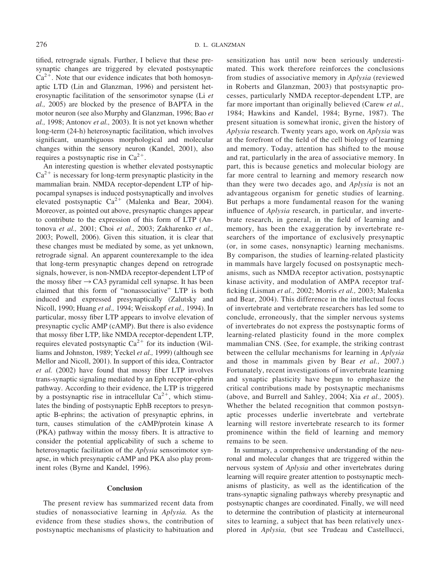tified, retrograde signals. Further, I believe that these presynaptic changes are triggered by elevated postsynaptic  $Ca^{2+}$ . Note that our evidence indicates that both homosynaptic LTD (Lin and Glanzman, 1996) and persistent heterosynaptic facilitation of the sensorimotor synapse (Li *et al.,* 2005) are blocked by the presence of BAPTA in the motor neuron (see also Murphy and Glanzman, 1996; Bao *et al.,* 1998; Antonov *et al.,* 2003). It is not yet known whether long-term (24-h) heterosynaptic facilitation, which involves significant, unambiguous morphological and molecular changes within the sensory neuron (Kandel, 2001), also requires a postsynaptic rise in  $Ca^{2+}$ .

An interesting question is whether elevated postsynaptic  $Ca<sup>2+</sup>$  is necessary for long-term presynaptic plasticity in the mammalian brain. NMDA receptor-dependent LTP of hippocampal synapses is induced postsynaptically and involves elevated postsynaptic  $Ca^{2+}$  (Malenka and Bear, 2004). Moreover, as pointed out above, presynaptic changes appear to contribute to the expression of this form of LTP (Antonova *et al.,* 2001; Choi *et al.,* 2003; Zakharenko *et al.,* 2003; Powell, 2006). Given this situation, it is clear that these changes must be mediated by some, as yet unknown, retrograde signal. An apparent counterexample to the idea that long-term presynaptic changes depend on retrograde signals, however, is non-NMDA receptor-dependent LTP of the mossy fiber  $\rightarrow$  CA3 pyramidal cell synapse. It has been claimed that this form of "nonassociative" LTP is both induced and expressed presynaptically (Zalutsky and Nicoll, 1990; Huang *et al.,* 1994; Weisskopf *et al.,* 1994). In particular, mossy fiber LTP appears to involve elevation of presynaptic cyclic AMP (cAMP). But there is also evidence that mossy fiber LTP, like NMDA receptor-dependent LTP, requires elevated postsynaptic  $Ca^{2+}$  for its induction (Williams and Johnston, 1989; Yeckel *et al.,* 1999) (although see Mellor and Nicoll, 2001). In support of this idea, Contractor *et al.* (2002) have found that mossy fiber LTP involves trans-synaptic signaling mediated by an Eph receptor-ephrin pathway. According to their evidence, the LTP is triggered by a postsynaptic rise in intracellular  $Ca^{2+}$ , which stimulates the binding of postsynaptic EphB receptors to presynaptic B-ephrins; the activation of presynaptic ephrins, in turn, causes stimulation of the cAMP/protein kinase A (PKA) pathway within the mossy fibers. It is attractive to consider the potential applicability of such a scheme to heterosynaptic facilitation of the *Aplysia* sensorimotor synapse, in which presynaptic cAMP and PKA also play prominent roles (Byrne and Kandel, 1996).

### **Conclusion**

The present review has summarized recent data from studies of nonassociative learning in *Aplysia.* As the evidence from these studies shows, the contribution of postsynaptic mechanisms of plasticity to habituation and

sensitization has until now been seriously underestimated. This work therefore reinforces the conclusions from studies of associative memory in *Aplysia* (reviewed in Roberts and Glanzman, 2003) that postsynaptic processes, particularly NMDA receptor-dependent LTP, are far more important than originally believed (Carew *et al.,* 1984; Hawkins and Kandel, 1984; Byrne, 1987). The present situation is somewhat ironic, given the history of *Aplysia* research. Twenty years ago, work on *Aplysia* was at the forefront of the field of the cell biology of learning and memory. Today, attention has shifted to the mouse and rat, particularly in the area of associative memory. In part, this is because genetics and molecular biology are far more central to learning and memory research now than they were two decades ago, and *Aplysia* is not an advantageous organism for genetic studies of learning. But perhaps a more fundamental reason for the waning influence of *Aplysia* research, in particular, and invertebrate research, in general, in the field of learning and memory, has been the exaggeration by invertebrate researchers of the importance of exclusively presynaptic (or, in some cases, nonsynaptic) learning mechanisms. By comparison, the studies of learning-related plasticity in mammals have largely focused on postsynaptic mechanisms, such as NMDA receptor activation, postsynaptic kinase activity, and modulation of AMPA receptor trafficking (Lisman *et al.,* 2002; Morris *et al.,* 2003; Malenka and Bear, 2004). This difference in the intellectual focus of invertebrate and vertebrate researchers has led some to conclude, erroneously, that the simpler nervous systems of invertebrates do not express the postsynaptic forms of learning-related plasticity found in the more complex mammalian CNS. (See, for example, the striking contrast between the cellular mechanisms for learning in *Aplysia* and those in mammals given by Bear *et al.,* 2007.) Fortunately, recent investigations of invertebrate learning and synaptic plasticity have begun to emphasize the critical contributions made by postsynaptic mechanisms (above, and Burrell and Sahley, 2004; Xia *et al.,* 2005). Whether the belated recognition that common postsynaptic processes underlie invertebrate and vertebrate learning will restore invertebrate research to its former prominence within the field of learning and memory remains to be seen.

In summary, a comprehensive understanding of the neuronal and molecular changes that are triggered within the nervous system of *Aplysia* and other invertebrates during learning will require greater attention to postsynaptic mechanisms of plasticity, as well as the identification of the trans-synaptic signaling pathways whereby presynaptic and postsynaptic changes are coordinated. Finally, we will need to determine the contribution of plasticity at interneuronal sites to learning, a subject that has been relatively unexplored in *Aplysia,* (but see Trudeau and Castellucci,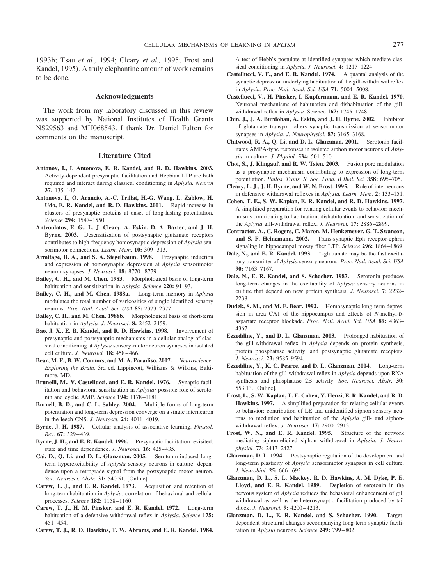1993b; Tsau *et al.,* 1994; Cleary *et al.,* 1995; Frost and Kandel, 1995). A truly elephantine amount of work remains to be done.

## **Acknowledgments**

The work from my laboratory discussed in this review was supported by National Institutes of Health Grants NS29563 and MH068543. I thank Dr. Daniel Fulton for comments on the manuscript.

#### **Literature Cited**

- **Antonov, I., I. Antonova, E. R. Kandel, and R. D. Hawkins. 2003.** Activity-dependent presynaptic facilitation and Hebbian LTP are both required and interact during classical conditioning in *Aplysia. Neuron* **37:** 135–147.
- **Antonova, I., O. Arancio, A.-C. Trillat, H.-G. Wang, L. Zablow, H. Udo, E. R. Kandel, and R. D. Hawkins. 2001.** Rapid increase in clusters of presynaptic proteins at onset of long-lasting potentiation. *Science* **294:** 1547–1550.
- **Antzoulatos, E. G., L. J. Cleary, A. Eskin, D. A. Baxter, and J. H. Byrne. 2003.** Desensitization of postsynaptic glutamate receptors contributes to high-frequency homosynaptic depression of *Aplysia* sensorimotor connections. *Learn. Mem.* **10:** 309–313.
- **Armitage, B. A., and S. A. Siegelbaum. 1998.** Presynaptic induction and expression of homosynaptic depression at *Aplysia* sensorimotor neuron synapses. *J. Neurosci.* **18:** 8770–8779.
- **Bailey, C. H., and M. Chen. 1983.** Morphological basis of long-term habituation and sensitization in *Aplysia. Science* **220:** 91–93.
- **Bailey, C. H., and M. Chen. 1988a.** Long-term memory in *Aplysia* modulates the total number of varicosities of single identified sensory neurons. *Proc. Natl. Acad. Sci. USA* **85:** 2373–2377.
- **Bailey, C. H., and M. Chen. 1988b.** Morphological basis of short-term habituation in *Aplysia. J. Neurosci.* **8:** 2452–2459.
- **Bao, J. X., E. R. Kandel, and R. D. Hawkins. 1998.** Involvement of presynaptic and postsynaptic mechanisms in a cellular analog of classical conditioning at *Aplysia* sensory-motor neuron synapses in isolated cell culture. *J. Neurosci.* **18:** 458–466.
- **Bear, M. F., B. W. Connors, and M. A. Paradiso. 2007.** *Neuroscience: Exploring the Brain,* 3rd ed. Lippincott, Williams & Wilkins, Baltimore, MD.
- **Brunelli, M., V. Castellucci, and E. R. Kandel. 1976.** Synaptic facilitation and behavioral sensitization in *Aplysia:* possible role of serotonin and cyclic AMP. *Science* **194:** 1178–1181.
- **Burrell, B. D., and C. L. Sahley. 2004.** Multiple forms of long-term potentiation and long-term depression converge on a single interneuron in the leech CNS. *J. Neurosci.* **24:** 4011–4019.
- **Byrne, J. H. 1987.** Cellular analysis of associative learning. *Physiol. Rev.* **67:** 329–439.
- **Byrne, J. H., and E. R. Kandel. 1996.** Presynaptic facilitation revisited: state and time dependence. *J. Neurosci.* **16:** 425–435.
- **Cai, D., Q. Li, and D. L. Glanzman. 2005.** Serotonin-induced longterm hyperexcitability of *Aplysia* sensory neurons in culture: dependence upon a retrograde signal from the postsynaptic motor neuron. *Soc. Neurosci. Abstr.* **31:** 540.51. [Online].
- **Carew, T. J., and E. R. Kandel. 1973.** Acquisition and retention of long-term habituation in *Aplysia:* correlation of behavioral and cellular processes. *Science* **182:** 1158–1160.
- **Carew, T. J., H. M. Pinsker, and E. R. Kandel. 1972.** Long-term habituation of a defensive withdrawal reflex in *Aplysia. Science* **175:** 451–454.
- **Carew, T. J., R. D. Hawkins, T. W. Abrams, and E. R. Kandel. 1984.**

A test of Hebb's postulate at identified synapses which mediate classical conditioning in *Aplysia. J. Neurosci.* **4:** 1217–1224.

- **Castellucci, V. F., and E. R. Kandel. 1974.** A quantal analysis of the synaptic depression underlying habituation of the gill-withdrawal reflex in *Aplysia. Proc. Natl. Acad. Sci. USA* **71:** 5004–5008.
- **Castellucci, V., H. Pinsker, I. Kupfermann, and E. R. Kandel. 1970.** Neuronal mechanisms of habituation and dishabituation of the gillwithdrawal reflex in *Aplysia.* Science **167:** 1745–1748.
- **Chin, J., J. A. Burdohan, A. Eskin, and J. H. Byrne. 2002.** Inhibitor of glutamate transport alters synaptic transmission at sensorimotor synapses in *Aplysia. J. Neurophysiol.* **87:** 3165–3168.
- **Chitwood, R. A., Q. Li, and D. L. Glanzman. 2001.** Serotonin facilitates AMPA-type responses in isolated siphon motor neurons of *Aplysia* in culture. *J. Physiol.* **534:** 501–510.
- **Choi, S., J. Klingauf, and R. W. Tsien. 2003.** Fusion pore modulation as a presynaptic mechanism contributing to expression of long-term potentiation. *Philos. Trans. R. Soc. Lond. B Biol. Sci.* **358:** 695–705.
- **Cleary, L. J., J. H. Byrne, and W. N. Frost. 1995.** Role of interneurons in defensive withdrawal reflexes in *Aplysia. Learn. Mem.* **2:** 133–151.
- **Cohen, T. E., S. W. Kaplan, E. R. Kandel, and R. D. Hawkins. 1997.** A simplified preparation for relating cellular events to behavior: mechanisms contributing to habituation, dishabituation, and sensitization of the *Aplysia* gill-withdrawal reflex. *J. Neurosci.* **17:** 2886–2899.
- **Contractor, A., C. Rogers, C. Maron, M. Henkemeyer, G. T. Swanson, and S. F. Heinemann. 2002.** Trans-synaptic Eph receptor-ephrin signaling in hippocampal mossy fiber LTP. *Science* **296:** 1864–1869.
- **Dale, N., and E. R. Kandel. 1993.** L-glutamate may be the fast excitatory transmitter of *Aplysia* sensory neurons. *Proc. Natl. Acad. Sci. USA* **90:** 7163–7167.
- **Dale, N., E. R. Kandel, and S. Schacher. 1987.** Serotonin produces long-term changes in the excitability of *Aplysia* sensory neurons in culture that depend on new protein synthesis. *J. Neurosci.* **7:** 2232– 2238.
- **Dudek, S. M., and M. F. Bear. 1992.** Homosynaptic long-term depression in area CA1 of the hippocampus and effects of *N*-methyl-Daspartate receptor blockade. *Proc. Natl. Acad. Sci. USA* **89:** 4363– 4367.
- **Ezzeddine, Y., and D. L. Glanzman. 2003.** Prolonged habituation of the gill-withdrawal reflex in *Aplysia* depends on protein synthesis, protein phosphatase activity, and postsynaptic glutamate receptors. *J. Neurosci.* **23:** 9585–9594.
- **Ezzeddine, Y., K. C. Pearce, and D. L. Glanzman. 2004.** Long-term habituation of the gill-withdrawal reflex in *Aplysia* depends upon RNA synthesis and phosphatase 2B activity. *Soc. Neurosci. Abstr.* **30:** 553.13. [Online].
- **Frost, L., S. W. Kaplan, T. E. Cohen, V. Henzi, E. R. Kandel, and R. D. Hawkins. 1997.** A simplified preparation for relating cellular events to behavior: contribution of LE and unidentified siphon sensory neurons to mediation and habituation of the *Aplysia* gill- and siphonwithdrawal reflex. *J. Neurosci.* **17:** 2900–2913.
- **Frost, W. N., and E. R. Kandel. 1995.** Structure of the network mediating siphon-elicited siphon withdrawal in *Aplysia. J. Neurophysiol.* **73:** 2413–2427.
- **Glanzman, D. L. 1994.** Postsynaptic regulation of the development and long-term plasticity of *Aplysia* sensorimotor synapses in cell culture. *J. Neurobiol.* **25:** 666–693.
- **Glanzman, D. L., S. L. Mackey, R. D. Hawkins, A. M. Dyke, P. E. Lloyd, and E. R. Kandel. 1989.** Depletion of serotonin in the nervous system of *Aplysia* reduces the behavioral enhancement of gill withdrawal as well as the heterosynaptic facilitation produced by tail shock. *J. Neurosci.* **9:** 4200–4213.
- **Glanzman, D. L., E. R. Kandel, and S. Schacher. 1990.** Targetdependent structural changes accompanying long-term synaptic facilitation in *Aplysia* neurons. *Science* **249:** 799–802.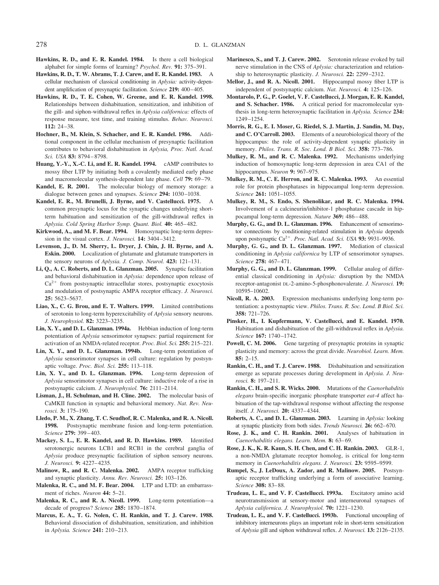- **Hawkins, R. D., and E. R. Kandel. 1984.** Is there a cell biological alphabet for simple forms of learning? *Psychol. Rev.* **91:** 375–391.
- **Hawkins, R. D., T. W. Abrams, T. J. Carew, and E. R. Kandel. 1983.** A cellular mechanism of classical conditioning in *Aplysia:* activity-dependent amplification of presynaptic facilitation. *Science* **219:** 400–405.
- **Hawkins, R. D., T. E. Cohen, W. Greene, and E. R. Kandel. 1998.** Relationships between dishabituation, sensitization, and inhibition of the gill- and siphon-withdrawal reflex in *Aplysia californica:* effects of response measure, test time, and training stimulus. *Behav. Neurosci.* **112:** 24–38.
- **Hochner, B., M. Klein, S. Schacher, and E. R. Kandel. 1986.** Additional component in the cellular mechanism of presynaptic facilitation contributes to behavioral dishabituation in *Aplysia, Proc. Natl. Acad. Sci. USA* **83:** 8794–8798.
- **Huang, Y.-Y., X.-C. Li, and E. R. Kandel. 1994.** cAMP contributes to mossy fiber LTP by initiating both a covalently mediated early phase and macromolecular synthesis-dependent late phase. *Cell* **79:** 69–79.
- **Kandel, E. R. 2001.** The molecular biology of memory storage: a dialogue between genes and synapses. *Science* **294:** 1030–1038.
- **Kandel, E. R., M. Brunelli, J. Byrne, and V. Castellucci. 1975.** A common presynaptic locus for the synaptic changes underlying shortterm habituation and sensitization of the gill-withdrawal reflex in *Aplysia. Cold Spring Harbor Symp. Quant. Biol.* **40:** 465–482.
- **Kirkwood, A., and M. F. Bear. 1994.** Homosynaptic long-term depression in the visual cortex. *J. Neurosci.* **14:** 3404–3412.
- **Levenson, J., D. M. Sherry, L. Dryer, J. Chin, J. H. Byrne, and A. Eskin. 2000.** Localization of glutamate and glutamate transporters in the sensory neurons of *Aplysia. J. Comp. Neurol.* **423:** 121–131.
- **Li, Q., A. C. Roberts, and D. L. Glanzman. 2005.** Synaptic facilitation and behavioral dishabituation in *Aplysia:* dependence upon release of  $Ca<sup>2+</sup>$  from postsynaptic intracellular stores, postsynaptic exocytosis and modulation of postsynaptic AMPA receptor efficacy. *J. Neurosci.* **25:** 5623–5637.
- **Liao, X., C. G. Brou, and E. T. Walters. 1999.** Limited contributions of serotonin to long-term hyperexcitability of *Aplysia* sensory neurons. *J. Neurophysiol.* **82:** 3223–3235.
- **Lin, X. Y., and D. L. Glanzman. 1994a.** Hebbian induction of long-term potentiation of *Aplysia* sensorimotor synapses: partial requirement for activation of an NMDA-related receptor. *Proc. Biol. Sci.* **255:** 215–221.
- **Lin, X. Y., and D. L. Glanzman. 1994b.** Long-term potentiation of *Aplysia* sensorimotor synapses in cell culture: regulation by postsynaptic voltage. *Proc. Biol. Sci.* **255:** 113–118.
- **Lin, X. Y., and D. L. Glanzman. 1996.** Long-term depression of *Aplysia* sensorimotor synapses in cell culture: inductive role of a rise in postsynaptic calcium. *J. Neurophysiol.* **76:** 2111–2114.
- **Lisman, J., H. Schulman, and H. Cline. 2002.** The molecular basis of CaMKII function in synaptic and behavioral memory. *Nat. Rev. Neurosci.* **3:** 175–190.
- **Lledo, P. M., X. Zhang, T. C. Seudhof, R. C. Malenka, and R. A. Nicoll. 1998.** Postsynaptic membrane fusion and long-term potentiation. *Science* **279:** 399–403.
- **Mackey, S. L., E. R. Kandel, and R. D. Hawkins. 1989.** Identified serotonergic neurons LCB1 and RCB1 in the cerebral ganglia of *Aplysia* produce presynaptic facilitation of siphon sensory neurons. *J. Neurosci.* **9:** 4227–4235.
- **Malinow, R., and R. C. Malenka. 2002.** AMPA receptor trafficking and synaptic plasticity. *Annu. Rev. Neurosci.* **25:** 103–126.
- **Malenka, R. C., and M. F. Bear. 2004.** LTP and LTD: an embarrassment of riches. *Neuron* **44:** 5–21.
- **Malenka, R. C., and R. A. Nicoll. 1999.** Long-term potentiation—a decade of progress? *Science* **285:** 1870–1874.
- **Marcus, E. A., T. G. Nolen, C. H. Rankin, and T. J. Carew. 1988.** Behavioral dissociation of dishabituation, sensitization, and inhibition in *Aplysia. Science* **241:** 210–213.
- **Marinesco, S., and T. J. Carew. 2002.** Serotonin release evoked by tail nerve stimulation in the CNS of *Aplysia:* characterization and relationship to heterosynaptic plasticity. *J. Neurosci.* **22:** 2299–2312.
- **Mellor, J., and R. A. Nicoll. 2001.** Hippocampal mossy fiber LTP is independent of postsynaptic calcium. *Nat. Neurosci.* **4:** 125–126.
- **Montarolo, P. G., P. Goelet, V. F. Castellucci, J. Morgan, E. R. Kandel, and S. Schacher. 1986.** A critical period for macromolecular synthesis in long-term heterosynaptic facilitation in *Aplysia. Science* **234:** 1249–1254.
- **Morris, R. G., E. I. Moser, G. Riedel, S. J. Martin, J. Sandin, M. Day, and C. O'Carroll. 2003.** Elements of a neurobiological theory of the hippocampus: the role of activity-dependent synaptic plasticity in memory. *Philos. Trans. R. Soc. Lond. B Biol. Sci.* **358:** 773–786.
- **Mulkey, R. M., and R. C. Malenka. 1992.** Mechanisms underlying induction of homosynaptic long-term depression in area CA1 of the hippocampus. *Neuron* **9:** 967–975.
- **Mulkey, R. M., C. E. Herron, and R. C. Malenka. 1993.** An essential role for protein phosphatases in hippocampal long-term depression. *Science* **261:** 1051–1055.
- **Mulkey, R. M., S. Endo, S. Shenolikar, and R. C. Malenka. 1994.** Involvement of a calcineurin/inhibitor-1 phosphatase cascade in hippocampal long-term depression. *Nature* **369:** 486–488.
- **Murphy, G. G., and D. L. Glanzman. 1996.** Enhancement of sensorimotor connections by conditioning-related stimulation in *Aplysia* depends upon postsynaptic Ca<sup>2+</sup>. *Proc. Natl. Acad. Sci. USA* 93: 9931-9936.
- **Murphy, G. G., and D. L. Glanzman. 1997.** Mediation of classical conditioning in *Aplysia californica* by LTP of sensorimotor synapses. *Science* **278:** 467–471.
- **Murphy, G. G., and D. L. Glanzman. 1999.** Cellular analog of differential classical conditioning in *Aplysia:* disruption by the NMDA receptor-antagonist DL-2-amino-5-phosphonovalerate. *J. Neurosci.* **19:** 10595–10602.
- **Nicoll, R. A. 2003.** Expression mechanisms underlying long-term potentiation: a postsynaptic view. *Philos. Trans. R. Soc. Lond. B Biol. Sci.* **358:** 721–726.
- **Pinsker, H., I. Kupfermann, V. Castellucci, and E. Kandel. 1970.** Habituation and dishabituation of the gill-withdrawal reflex in *Aplysia. Science* **167:** 1740–1742.
- Powell, C. M. 2006. Gene targeting of presynaptic proteins in synaptic plasticity and memory: across the great divide. *Neurobiol. Learn. Mem.* **85:** 2–15.
- **Rankin, C. H., and T. J. Carew. 1988.** Dishabituation and sensitization emerge as separate processes during development in *Aplysia. J. Neurosci.* **8:** 197–211.
- **Rankin, C. H., and S. R. Wicks. 2000.** Mutations of the *Caenorhabditis elegans* brain-specific inorganic phosphate transporter *eat-4* affect habituation of the tap-withdrawal response without affecting the response itself. *J. Neurosci.* **20:** 4337–4344.
- **Roberts, A. C., and D. L. Glanzman. 2003.** Learning in *Aplysia:* looking at synaptic plasticity from both sides. *Trends Neurosci.* **26:** 662–670.
- **Rose, J. K., and C. H. Rankin. 2001.** Analyses of habituation in *Caenorhabditis elegans. Learn. Mem.* **8:** 63–69.
- **Rose, J. K., K. R. Kaun, S. H. Chen, and C. H. Rankin. 2003.** GLR-1, a non-NMDA glutamate receptor homolog, is critical for long-term memory in *Caenorhabditis elegans. J. Neurosci.* **23:** 9595–9599.
- **Rumpel, S., J. LeDoux, A. Zador, and R. Malinow. 2005.** Postsynaptic receptor trafficking underlying a form of associative learning. *Science* **308:** 83–88.
- **Trudeau, L. E., and V. F. Castellucci. 1993a.** Excitatory amino acid neurotransmission at sensory-motor and interneuronal synapses of *Aplysia californica. J. Neurophysiol.* **70:** 1221–1230.
- **Trudeau, L. E., and V. F. Castellucci. 1993b.** Functional uncoupling of inhibitory interneurons plays an important role in short-term sensitization of *Aplysia* gill and siphon withdrawal reflex. *J. Neurosci.* **13:** 2126–2135.